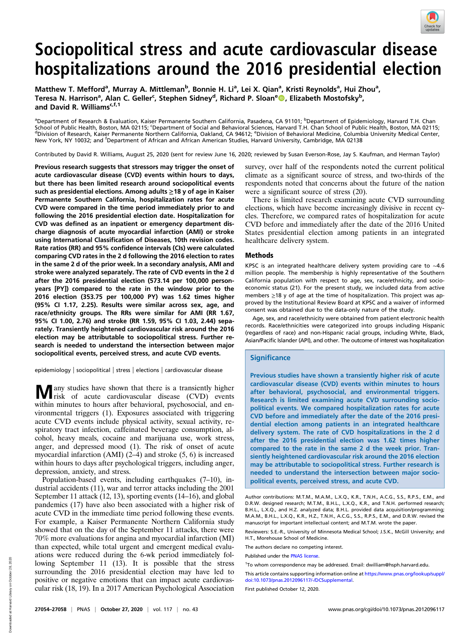

# Sociopolitical stress and acute cardiovascular disease hospitalizations around the 2016 presidential election

Matthew T. Mefford<sup>a</sup>, Murray A. Mittleman<sup>b</sup>, Bonnie H. Li<sup>a</sup>, Lei X. Qian<sup>a</sup>, Kristi Reynolds<sup>a</sup>, Hui Zhou<sup>a</sup>, Teresa N. Harrison<sup>a</sup>, Alan C. Geller<sup>c</sup>, Stephen Sidney<sup>d</sup>, Richard P. Sloan<sup>e</sup> (), Elizabeth Mostofsky<sup>b</sup>, and David R. Williams<sup>c,f,1</sup>

<sup>a</sup>Department of Research & Evaluation, Kaiser Permanente Southern California, Pasadena, CA 91101; <sup>b</sup>Department of Epidemiology, Harvard T.H. Chan School of Public Health, Boston, MA 02115; 'Department of Social and Behavioral Sciences, Harvard T.H. Chan School of Public Health, Boston, MA 02115;<br><sup>d</sup>Division of Research, Kaiser Permanente Northern California, Oakland New York, NY 10032; and <sup>f</sup>Department of African and African American Studies, Harvard University, Cambridge, MA 02138

Contributed by David R. Williams, August 25, 2020 (sent for review June 16, 2020; reviewed by Susan Everson-Rose, Jay S. Kaufman, and Herman Taylor)

Previous research suggests that stressors may trigger the onset of acute cardiovascular disease (CVD) events within hours to days, but there has been limited research around sociopolitical events such as presidential elections. Among adults  $\geq$  18 y of age in Kaiser Permanente Southern California, hospitalization rates for acute CVD were compared in the time period immediately prior to and following the 2016 presidential election date. Hospitalization for CVD was defined as an inpatient or emergency department discharge diagnosis of acute myocardial infarction (AMI) or stroke using International Classification of Diseases, 10th revision codes. Rate ratios (RR) and 95% confidence intervals (CIs) were calculated comparing CVD rates in the 2 d following the 2016 election to rates in the same 2 d of the prior week. In a secondary analysis, AMI and stroke were analyzed separately. The rate of CVD events in the 2 d after the 2016 presidential election (573.14 per 100,000 personyears [PY]) compared to the rate in the window prior to the 2016 election (353.75 per 100,000 PY) was 1.62 times higher (95% CI 1.17, 2.25). Results were similar across sex, age, and race/ethnicity groups. The RRs were similar for AMI (RR 1.67, 95% CI 1.00, 2.76) and stroke (RR 1.59, 95% CI 1.03, 2.44) separately. Transiently heightened cardiovascular risk around the 2016 election may be attributable to sociopolitical stress. Further research is needed to understand the intersection between major sociopolitical events, perceived stress, and acute CVD events.

epidemiology | sociopolitical | stress | elections | cardiovascular disease

**M** any studies have shown that there is a transiently higher risk of acute cardiovascular disease (CVD) events within minutes to hours after behavioral, psychosocial, and environmental triggers (1). Exposures associated with triggering acute CVD events include physical activity, sexual activity, respiratory tract infection, caffeinated beverage consumption, alcohol, heavy meals, cocaine and marijuana use, work stress, anger, and depressed mood (1). The risk of onset of acute myocardial infarction (AMI) (2–4) and stroke (5, 6) is increased within hours to days after psychological triggers, including anger, depression, anxiety, and stress.

Population-based events, including earthquakes (7–10), industrial accidents (11), war and terror attacks including the 2001 September 11 attack (12, 13), sporting events (14–16), and global pandemics (17) have also been associated with a higher risk of acute CVD in the immediate time period following these events. For example, a Kaiser Permanente Northern California study showed that on the day of the September 11 attacks, there were 70% more evaluations for angina and myocardial infarction (MI) than expected, while total urgent and emergent medical evaluations were reduced during the 6-wk period immediately following September 11 (13). It is possible that the stress surrounding the 2016 presidential election may have led to positive or negative emotions that can impact acute cardiovascular risk (18, 19). In a 2017 American Psychological Association survey, over half of the respondents noted the current political climate as a significant source of stress, and two-thirds of the respondents noted that concerns about the future of the nation were a significant source of stress (20).

There is limited research examining acute CVD surrounding elections, which have become increasingly divisive in recent cycles. Therefore, we compared rates of hospitalization for acute CVD before and immediately after the date of the 2016 United States presidential election among patients in an integrated healthcare delivery system.

### Methods

KPSC is an integrated healthcare delivery system providing care to ∼4.6 million people. The membership is highly representative of the Southern California population with respect to age, sex, race/ethnicity, and socioeconomic status (21). For the present study, we included data from active members ≥18 y of age at the time of hospitalization. This project was approved by the Institutional Review Board at KPSC and a waiver of informed consent was obtained due to the data-only nature of the study.

Age, sex, and race/ethnicity were obtained from patient electronic health records. Race/ethnicities were categorized into groups including Hispanic (regardless of race) and non-Hispanic racial groups, including White, Black, Asian/Pacific Islander (API), and other. The outcome of interest was hospitalization

## **Significance**

Previous studies have shown a transiently higher risk of acute cardiovascular disease (CVD) events within minutes to hours after behavioral, psychosocial, and environmental triggers. Research is limited examining acute CVD surrounding sociopolitical events. We compared hospitalization rates for acute CVD before and immediately after the date of the 2016 presidential election among patients in an integrated healthcare delivery system. The rate of CVD hospitalizations in the 2 d after the 2016 presidential election was 1.62 times higher compared to the rate in the same 2 d the week prior. Transiently heightened cardiovascular risk around the 2016 election may be attributable to sociopolitical stress. Further research is needed to understand the intersection between major sociopolitical events, perceived stress, and acute CVD.

Author contributions: M.T.M., M.A.M., L.X.Q., K.R., T.N.H., A.C.G., S.S., R.P.S., E.M., and D.R.W. designed research; M.T.M., B.H.L., L.X.Q., K.R., and T.N.H. performed research; B.H.L., L.X.Q., and H.Z. analyzed data; B.H.L. provided data acquisition/programming; M.A.M., B.H.L., L.X.Q., K.R., H.Z., T.N.H., A.C.G., S.S., R.P.S., E.M., and D.R.W. revised the manuscript for important intellectual content; and M.T.M. wrote the paper.

Reviewers: S.E.-R., University of Minnesota Medical School; J.S.K., McGill University; and H.T., Morehouse School of Medicine.

The authors declare no competing interest.

Published under the [PNAS license](https://www.pnas.org/site/aboutpnas/licenses.xhtml).

1 To whom correspondence may be addressed. Email: [dwilliam@hsph.harvard.edu.](mailto:dwilliam@hsph.harvard.edu)

This article contains supporting information online at [https://www.pnas.org/lookup/suppl/](https://www.pnas.org/lookup/suppl/doi:10.1073/pnas.2012096117/-/DCSupplemental) [doi:10.1073/pnas.2012096117/-/DCSupplemental](https://www.pnas.org/lookup/suppl/doi:10.1073/pnas.2012096117/-/DCSupplemental).

First published October 12, 2020.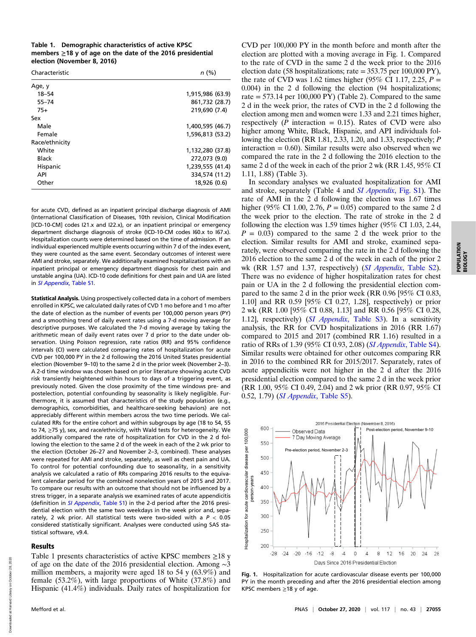| Table 1. Demographic characteristics of active KPSC             |
|-----------------------------------------------------------------|
| members $\geq$ 18 y of age on the date of the 2016 presidential |
| election (November 8, 2016)                                     |

| Characteristic | n(%)             |
|----------------|------------------|
| Age, y         |                  |
| $18 - 54$      | 1,915,986 (63.9) |
| $55 - 74$      | 861,732 (28.7)   |
| $75+$          | 219,690 (7.4)    |
| Sex            |                  |
| Male           | 1,400,595 (46.7) |
| Female         | 1.596.813 (53.2) |
| Race/ethnicity |                  |
| White          | 1,132,280 (37.8) |
| Black          | 272,073 (9.0)    |
| Hispanic       | 1,239,555 (41.4) |
| API            | 334,574 (11.2)   |
| Other          | 18,926 (0.6)     |

for acute CVD, defined as an inpatient principal discharge diagnosis of AMI (International Classification of Diseases, 10th revision, Clinical Modification [ICD-10-CM] codes I21.x and I22.x), or an inpatient principal or emergency department discharge diagnosis of stroke (ICD-10-CM codes I60.x to I67.x). Hospitalization counts were determined based on the time of admission. If an individual experienced multiple events occurring within 7 d of the index event, they were counted as the same event. Secondary outcomes of interest were AMI and stroke, separately. We additionally examined hospitalizations with an inpatient principal or emergency department diagnosis for chest pain and unstable angina (UA). ICD-10 code definitions for chest pain and UA are listed in [SI Appendix](https://www.pnas.org/lookup/suppl/doi:10.1073/pnas.2012096117/-/DCSupplemental), Table S1.

Statistical Analysis. Using prospectively collected data in a cohort of members enrolled in KPSC, we calculated daily rates of CVD 1 mo before and 1 mo after the date of election as the number of events per 100,000 person years (PY) and a smoothing trend of daily event rates using a 7-d moving average for descriptive purposes. We calculated the 7-d moving average by taking the arithmetic mean of daily event rates over 7 d prior to the date under observation. Using Poisson regression, rate ratios (RR) and 95% confidence intervals (CI) were calculated comparing rates of hospitalization for acute CVD per 100,000 PY in the 2 d following the 2016 United States presidential election (November 9–10) to the same 2 d in the prior week (November 2–3). A 2-d time window was chosen based on prior literature showing acute CVD risk transiently heightened within hours to days of a triggering event, as previously noted. Given the close proximity of the time windows pre- and postelection, potential confounding by seasonality is likely negligible. Furthermore, it is assumed that characteristics of the study population (e.g., demographics, comorbidities, and healthcare-seeking behaviors) are not appreciably different within members across the two time periods. We calculated RRs for the entire cohort and within subgroups by age (18 to 54, 55 to 74, ≥75 y), sex, and race/ethnicity, with Wald tests for heterogeneity. We additionally compared the rate of hospitalization for CVD in the 2 d following the election to the same 2 d of the week in each of the 2 wk prior to the election (October 26–27 and November 2–3, combined). These analyses were repeated for AMI and stroke, separately, as well as chest pain and UA. To control for potential confounding due to seasonality, in a sensitivity analysis we calculated a ratio of RRs comparing 2016 results to the equivalent calendar period for the combined nonelection years of 2015 and 2017. To compare our results with an outcome that should not be influenced by a stress trigger, in a separate analysis we examined rates of acute appendicitis (definition in *[SI Appendix](https://www.pnas.org/lookup/suppl/doi:10.1073/pnas.2012096117/-/DCSupplemental)*, Table S1) in the 2-d period after the 2016 presidential election with the same two weekdays in the week prior and, separately, 2 wk prior. All statistical tests were two-sided with a  $P < 0.05$ considered statistically significant. Analyses were conducted using SAS statistical software, v9.4.

#### Results

Table 1 presents characteristics of active KPSC members  $\geq$ 18 y of age on the date of the 2016 presidential election. Among ∼3 million members, a majority were aged 18 to 54 y (63.9%) and female (53.2%), with large proportions of White (37.8%) and Hispanic (41.4%) individuals. Daily rates of hospitalization for

CVD per 100,000 PY in the month before and month after the election are plotted with a moving average in Fig. 1. Compared to the rate of CVD in the same 2 d the week prior to the 2016 election date (58 hospitalizations; rate = 353.75 per 100,000 PY), the rate of CVD was 1.62 times higher (95% CI 1.17, 2.25,  $P =$ 0.004) in the 2 d following the election (94 hospitalizations; rate  $= 573.14$  per 100,000 PY) (Table 2). Compared to the same 2 d in the week prior, the rates of CVD in the 2 d following the election among men and women were 1.33 and 2.21 times higher, respectively ( $P$  interaction = 0.15). Rates of CVD were also higher among White, Black, Hispanic, and API individuals following the election (RR 1.81, 2.33, 1.20, and 1.33, respectively; P interaction  $= 0.60$ ). Similar results were also observed when we compared the rate in the 2 d following the 2016 election to the same 2 d of the week in each of the prior 2 wk (RR 1.45, 95% CI 1.11, 1.88) (Table 3).

In secondary analyses we evaluated hospitalization for AMI and stroke, separately (Table 4 and [SI Appendix](https://www.pnas.org/lookup/suppl/doi:10.1073/pnas.2012096117/-/DCSupplemental), Fig. S1). The rate of AMI in the 2 d following the election was 1.67 times higher (95% CI 1.00, 2.76,  $P = 0.05$ ) compared to the same 2 d the week prior to the election. The rate of stroke in the 2 d following the election was 1.59 times higher (95% CI 1.03, 2.44,  $P = 0.03$ ) compared to the same 2 d the week prior to the election. Similar results for AMI and stroke, examined separately, were observed comparing the rate in the 2 d following the 2016 election to the same 2 d of the week in each of the prior 2 wk (RR 1.57 and 1.37, respectively) (SI Appendix[, Table S2](https://www.pnas.org/lookup/suppl/doi:10.1073/pnas.2012096117/-/DCSupplemental)). There was no evidence of higher hospitalization rates for chest pain or UA in the 2 d following the presidential election compared to the same 2 d in the prior week (RR 0.96 [95% CI 0.83, 1.10] and RR 0.59 [95% CI 0.27, 1.28], respectively) or prior 2 wk (RR 1.00 [95% CI 0.88, 1.13] and RR 0.56 [95% CI 0.28, 1.12], respectively) (SI Appendix[, Table S3](https://www.pnas.org/lookup/suppl/doi:10.1073/pnas.2012096117/-/DCSupplemental)). In a sensitivity analysis, the RR for CVD hospitalizations in 2016 (RR 1.67) compared to 2015 and 2017 (combined RR 1.16) resulted in a ratio of RRs of 1.39 (95% CI 0.93, 2.08) (SI Appendix[, Table S4](https://www.pnas.org/lookup/suppl/doi:10.1073/pnas.2012096117/-/DCSupplemental)). Similar results were obtained for other outcomes comparing RR in 2016 to the combined RR for 2015/2017. Separately, rates of acute appendicitis were not higher in the 2 d after the 2016 presidential election compared to the same 2 d in the week prior (RR 1.00, 95% CI 0.49, 2.04) and 2 wk prior (RR 0.97, 95% CI 0.52, 1.79) (SI Appendix[, Table S5\)](https://www.pnas.org/lookup/suppl/doi:10.1073/pnas.2012096117/-/DCSupplemental).



Fig. 1. Hospitalization for acute cardiovascular disease events per 100,000 PY in the month preceding and after the 2016 presidential election among KPSC members ≥18 y of age.

Downloaded at Harvard Library on October 28, 2020

Downloaded at Harvard Library on October 28, 2020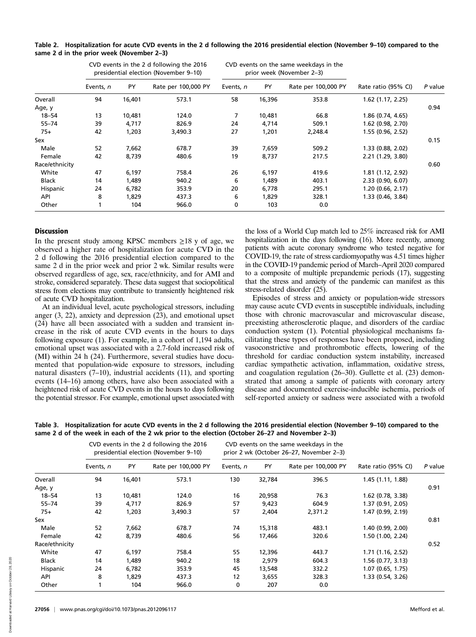|                | CVD events in the 2 d following the 2016<br>presidential election (November 9-10) |        | CVD events on the same weekdays in the<br>prior week (November 2-3) |           |        |                     |                     |         |
|----------------|-----------------------------------------------------------------------------------|--------|---------------------------------------------------------------------|-----------|--------|---------------------|---------------------|---------|
|                | Events, n                                                                         | PY     | Rate per 100,000 PY                                                 | Events, n | PY     | Rate per 100,000 PY | Rate ratio (95% CI) | P value |
| Overall        | 94                                                                                | 16,401 | 573.1                                                               | 58        | 16,396 | 353.8               | 1.62 (1.17, 2.25)   |         |
| Age, y         |                                                                                   |        |                                                                     |           |        |                     |                     | 0.94    |
| $18 - 54$      | 13                                                                                | 10,481 | 124.0                                                               | 7         | 10,481 | 66.8                | 1.86 (0.74, 4.65)   |         |
| $55 - 74$      | 39                                                                                | 4,717  | 826.9                                                               | 24        | 4,714  | 509.1               | 1.62 (0.98, 2.70)   |         |
| $75+$          | 42                                                                                | 1,203  | 3,490.3                                                             | 27        | 1,201  | 2,248.4             | 1.55 (0.96, 2.52)   |         |
| Sex            |                                                                                   |        |                                                                     |           |        |                     |                     | 0.15    |
| Male           | 52                                                                                | 7,662  | 678.7                                                               | 39        | 7,659  | 509.2               | 1.33 (0.88, 2.02)   |         |
| Female         | 42                                                                                | 8,739  | 480.6                                                               | 19        | 8,737  | 217.5               | 2.21(1.29, 3.80)    |         |
| Race/ethnicity |                                                                                   |        |                                                                     |           |        |                     |                     | 0.60    |
| White          | 47                                                                                | 6,197  | 758.4                                                               | 26        | 6,197  | 419.6               | 1.81 (1.12, 2.92)   |         |
| <b>Black</b>   | 14                                                                                | 1,489  | 940.2                                                               | 6         | 1,489  | 403.1               | 2.33(0.90, 6.07)    |         |
| Hispanic       | 24                                                                                | 6,782  | 353.9                                                               | 20        | 6,778  | 295.1               | 1.20(0.66, 2.17)    |         |
| API            | 8                                                                                 | 1,829  | 437.3                                                               | 6         | 1,829  | 328.1               | 1.33 (0.46, 3.84)   |         |
| Other          |                                                                                   | 104    | 966.0                                                               | 0         | 103    | 0.0                 |                     |         |

| Table 2. Hospitalization for acute CVD events in the 2 d following the 2016 presidential election (November 9-10) compared to the |  |  |  |
|-----------------------------------------------------------------------------------------------------------------------------------|--|--|--|
| same 2 d in the prior week (November 2–3)                                                                                         |  |  |  |

## **Discussion**

In the present study among KPSC members  $\geq 18$  y of age, we observed a higher rate of hospitalization for acute CVD in the 2 d following the 2016 presidential election compared to the same 2 d in the prior week and prior 2 wk. Similar results were observed regardless of age, sex, race/ethnicity, and for AMI and stroke, considered separately. These data suggest that sociopolitical stress from elections may contribute to transiently heightened risk of acute CVD hospitalization.

At an individual level, acute psychological stressors, including anger (3, 22), anxiety and depression (23), and emotional upset (24) have all been associated with a sudden and transient increase in the risk of acute CVD events in the hours to days following exposure (1). For example, in a cohort of 1,194 adults, emotional upset was associated with a 2.7-fold increased risk of (MI) within 24 h (24). Furthermore, several studies have documented that population-wide exposure to stressors, including natural disasters (7–10), industrial accidents (11), and sporting events (14–16) among others, have also been associated with a heightened risk of acute CVD events in the hours to days following the potential stressor. For example, emotional upset associated with

the loss of a World Cup match led to 25% increased risk for AMI hospitalization in the days following (16). More recently, among patients with acute coronary syndrome who tested negative for COVID-19, the rate of stress cardiomyopathy was 4.51 times higher in the COVID-19 pandemic period of March–April 2020 compared to a composite of multiple prepandemic periods (17), suggesting that the stress and anxiety of the pandemic can manifest as this stress-related disorder (25).

Episodes of stress and anxiety or population-wide stressors may cause acute CVD events in susceptible individuals, including those with chronic macrovascular and microvascular disease, preexisting atherosclerotic plaque, and disorders of the cardiac conduction system (1). Potential physiological mechanisms facilitating these types of responses have been proposed, including vasoconstrictive and prothrombotic effects, lowering of the threshold for cardiac conduction system instability, increased cardiac sympathetic activation, inflammation, oxidative stress, and coagulation regulation (26–30). Gullette et al. (23) demonstrated that among a sample of patients with coronary artery disease and documented exercise-inducible ischemia, periods of self-reported anxiety or sadness were associated with a twofold

Table 3. Hospitalization for acute CVD events in the 2 d following the 2016 presidential election (November 9–10) compared to the same 2 d of the week in each of the 2 wk prior to the election (October 26–27 and November 2–3)

|                | CVD events in the 2 d following the 2016<br>presidential election (November 9-10) |           |                     |           |        | CVD events on the same weekdays in the<br>prior 2 wk (October 26–27, November 2–3) |                     |         |
|----------------|-----------------------------------------------------------------------------------|-----------|---------------------|-----------|--------|------------------------------------------------------------------------------------|---------------------|---------|
|                | Events, n                                                                         | <b>PY</b> | Rate per 100,000 PY | Events, n | PY     | Rate per 100,000 PY                                                                | Rate ratio (95% CI) | P value |
| Overall        | 94                                                                                | 16,401    | 573.1               | 130       | 32,784 | 396.5                                                                              | 1.45 (1.11, 1.88)   |         |
| Age, y         |                                                                                   |           |                     |           |        |                                                                                    |                     | 0.91    |
| $18 - 54$      | 13                                                                                | 10,481    | 124.0               | 16        | 20,958 | 76.3                                                                               | 1.62 (0.78, 3.38)   |         |
| $55 - 74$      | 39                                                                                | 4,717     | 826.9               | 57        | 9,423  | 604.9                                                                              | 1.37 (0.91, 2.05)   |         |
| $75+$          | 42                                                                                | 1,203     | 3,490.3             | 57        | 2,404  | 2,371.2                                                                            | 1.47 (0.99, 2.19)   |         |
| Sex            |                                                                                   |           |                     |           |        |                                                                                    |                     | 0.81    |
| Male           | 52                                                                                | 7,662     | 678.7               | 74        | 15,318 | 483.1                                                                              | 1.40 (0.99, 2.00)   |         |
| Female         | 42                                                                                | 8,739     | 480.6               | 56        | 17,466 | 320.6                                                                              | 1.50 (1.00, 2.24)   |         |
| Race/ethnicity |                                                                                   |           |                     |           |        |                                                                                    |                     | 0.52    |
| White          | 47                                                                                | 6,197     | 758.4               | 55        | 12,396 | 443.7                                                                              | 1.71 (1.16, 2.52)   |         |
| <b>Black</b>   | 14                                                                                | 1,489     | 940.2               | 18        | 2,979  | 604.3                                                                              | 1.56 (0.77, 3.13)   |         |
| Hispanic       | 24                                                                                | 6,782     | 353.9               | 45        | 13,548 | 332.2                                                                              | 1.07 (0.65, 1.75)   |         |
| API            | 8                                                                                 | 1.829     | 437.3               | 12        | 3,655  | 328.3                                                                              | 1.33 (0.54, 3.26)   |         |
| Other          |                                                                                   | 104       | 966.0               | 0         | 207    | 0.0                                                                                |                     |         |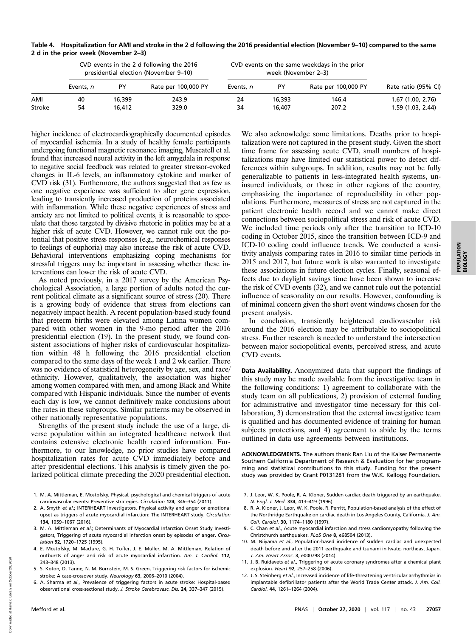| Table 4. Hospitalization for AMI and stroke in the 2 d following the 2016 presidential election (November 9–10) compared to the same |
|--------------------------------------------------------------------------------------------------------------------------------------|
| 2 d in the prior week (November 2–3)                                                                                                 |

|        | CVD events in the 2 d following the 2016<br>presidential election (November 9–10) |        |                     | CVD events on the same weekdays in the prior |        |                     |                     |
|--------|-----------------------------------------------------------------------------------|--------|---------------------|----------------------------------------------|--------|---------------------|---------------------|
|        | Events, n                                                                         | PY     | Rate per 100,000 PY | Events, n                                    | PY     | Rate per 100,000 PY | Rate ratio (95% CI) |
| AMI    | 40                                                                                | 16,399 | 243.9               | 24                                           | 16,393 | 146.4               | $1.67$ (1.00, 2.76) |
| Stroke | 54                                                                                | 16,412 | 329.0               | 34                                           | 16,407 | 207.2               | 1.59(1.03, 2.44)    |

higher incidence of electrocardiographically documented episodes of myocardial ischemia. In a study of healthy female participants undergoing functional magnetic resonance imaging, Muscatell et al. found that increased neural activity in the left amygdala in response to negative social feedback was related to greater stressor-evoked changes in IL-6 levels, an inflammatory cytokine and marker of CVD risk (31). Furthermore, the authors suggested that as few as one negative experience was sufficient to alter gene expression, leading to transiently increased production of proteins associated with inflammation. While these negative experiences of stress and anxiety are not limited to political events, it is reasonable to speculate that those targeted by divisive rhetoric in politics may be at a higher risk of acute CVD. However, we cannot rule out the potential that positive stress responses (e.g., neurochemical responses to feelings of euphoria) may also increase the risk of acute CVD. Behavioral interventions emphasizing coping mechanisms for stressful triggers may be important in assessing whether these interventions can lower the risk of acute CVD.

As noted previously, in a 2017 survey by the American Psychological Association, a large portion of adults noted the current political climate as a significant source of stress (20). There is a growing body of evidence that stress from elections can negatively impact health. A recent population-based study found that preterm births were elevated among Latina women compared with other women in the 9-mo period after the 2016 presidential election (19). In the present study, we found consistent associations of higher risks of cardiovascular hospitalization within 48 h following the 2016 presidential election compared to the same days of the week 1 and 2 wk earlier. There was no evidence of statistical heterogeneity by age, sex, and race/ ethnicity. However, qualitatively, the association was higher among women compared with men, and among Black and White compared with Hispanic individuals. Since the number of events each day is low, we cannot definitively make conclusions about the rates in these subgroups. Similar patterns may be observed in other nationally representative populations.

Strengths of the present study include the use of a large, diverse population within an integrated healthcare network that contains extensive electronic health record information. Furthermore, to our knowledge, no prior studies have compared hospitalization rates for acute CVD immediately before and after presidential elections. This analysis is timely given the polarized political climate preceding the 2020 presidential election.

- 1. M. A. Mittleman, E. Mostofsky, Physical, psychological and chemical triggers of acute cardiovascular events: Preventive strategies. Circulation 124, 346–354 (2011).
- 2. A. Smyth et al.; INTERHEART Investigators, Physical activity and anger or emotional upset as triggers of acute myocardial infarction: The INTERHEART study. Circulation 134, 1059–1067 (2016).
- 3. M. A. Mittleman et al.; Determinants of Myocardial Infarction Onset Study Investigators, Triggering of acute myocardial infarction onset by episodes of anger. Circulation 92, 1720–1725 (1995).
- 4. E. Mostofsky, M. Maclure, G. H. Tofler, J. E. Muller, M. A. Mittleman, Relation of outbursts of anger and risk of acute myocardial infarction. Am. J. Cardiol. 112, 343–348 (2013).
- 5. S. Koton, D. Tanne, N. M. Bornstein, M. S. Green, Triggering risk factors for ischemic stroke: A case-crossover study. Neurology 63, 2006–2010 (2004).
- 6. A. Sharma et al., Prevalence of triggering factors in acute stroke: Hospital-based observational cross-sectional study. J. Stroke Cerebrovasc. Dis. 24, 337–347 (2015).

We also acknowledge some limitations. Deaths prior to hospitalization were not captured in the present study. Given the short time frame for assessing acute CVD, small numbers of hospitalizations may have limited our statistical power to detect differences within subgroups. In addition, results may not be fully generalizable to patients in less-integrated health systems, uninsured individuals, or those in other regions of the country, emphasizing the importance of reproducibility in other populations. Furthermore, measures of stress are not captured in the patient electronic health record and we cannot make direct connections between sociopolitical stress and risk of acute CVD. We included time periods only after the transition to ICD-10 coding in October 2015, since the transition between ICD-9 and ICD-10 coding could influence trends. We conducted a sensitivity analysis comparing rates in 2016 to similar time periods in 2015 and 2017, but future work is also warranted to investigate these associations in future election cycles. Finally, seasonal effects due to daylight savings time have been shown to increase the risk of CVD events (32), and we cannot rule out the potential influence of seasonality on our results. However, confounding is of minimal concern given the short event windows chosen for the present analysis.

In conclusion, transiently heightened cardiovascular risk around the 2016 election may be attributable to sociopolitical stress. Further research is needed to understand the intersection between major sociopolitical events, perceived stress, and acute CVD events.

Data Availability. Anonymized data that support the findings of this study may be made available from the investigative team in the following conditions: 1) agreement to collaborate with the study team on all publications, 2) provision of external funding for administrative and investigator time necessary for this collaboration, 3) demonstration that the external investigative team is qualified and has documented evidence of training for human subjects protections, and 4) agreement to abide by the terms outlined in data use agreements between institutions.

ACKNOWLEDGMENTS. The authors thank Ran Liu of the Kaiser Permanente Southern California Department of Research & Evaluation for her programming and statistical contributions to this study. Funding for the present study was provided by Grant P0131281 from the W.K. Kellogg Foundation.

- 7. J. Leor, W. K. Poole, R. A. Kloner, Sudden cardiac death triggered by an earthquake. N. Engl. J. Med. 334, 413–419 (1996).
- 8. R. A. Kloner, J. Leor, W. K. Poole, R. Perritt, Population-based analysis of the effect of the Northridge Earthquake on cardiac death in Los Angeles County, California. J. Am. Coll. Cardiol. 30, 1174–1180 (1997).
- 9. C. Chan et al., Acute myocardial infarction and stress cardiomyopathy following the Christchurch earthquakes. PLoS One 8, e68504 (2013).
- 10. M. Niiyama et al., Population-based incidence of sudden cardiac and unexpected death before and after the 2011 earthquake and tsunami in Iwate, northeast Japan. J. Am. Heart Assoc. 3, e000798 (2014).
- 11. J. B. Ruidavets et al., Triggering of acute coronary syndromes after a chemical plant explosion. Heart 92, 257–258 (2006).
- 12. J. S. Steinberg et al., Increased incidence of life-threatening ventricular arrhythmias in implantable defibrillator patients after the World Trade Center attack. J. Am. Coll. Cardiol. 44, 1261–1264 (2004).